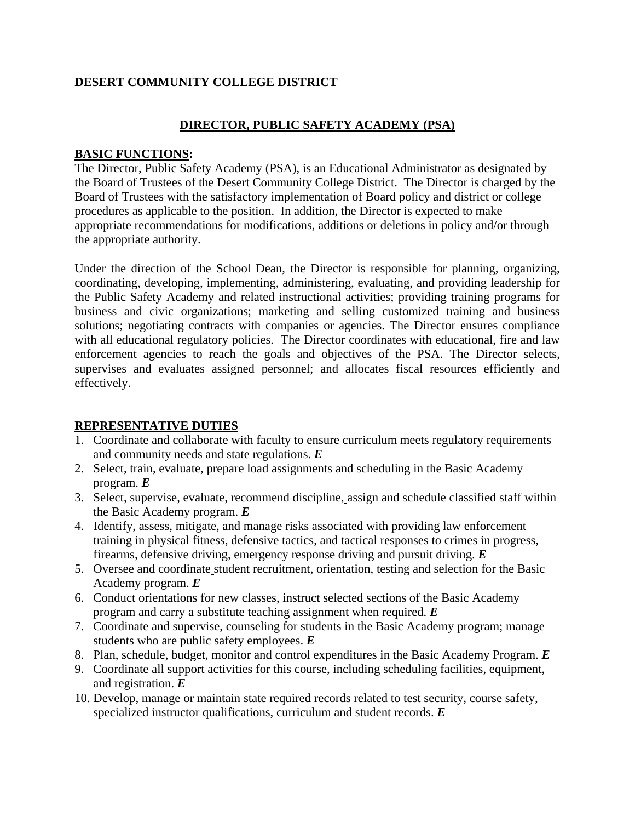# **DESERT COMMUNITY COLLEGE DISTRICT**

## **DIRECTOR, PUBLIC SAFETY ACADEMY (PSA)**

#### **BASIC FUNCTIONS:**

The Director, Public Safety Academy (PSA), is an Educational Administrator as designated by the Board of Trustees of the Desert Community College District. The Director is charged by the Board of Trustees with the satisfactory implementation of Board policy and district or college procedures as applicable to the position. In addition, the Director is expected to make appropriate recommendations for modifications, additions or deletions in policy and/or through the appropriate authority.

Under the direction of the School Dean, the Director is responsible for planning, organizing, coordinating, developing, implementing, administering, evaluating, and providing leadership for the Public Safety Academy and related instructional activities; providing training programs for business and civic organizations; marketing and selling customized training and business solutions; negotiating contracts with companies or agencies. The Director ensures compliance with all educational regulatory policies. The Director coordinates with educational, fire and law enforcement agencies to reach the goals and objectives of the PSA. The Director selects, supervises and evaluates assigned personnel; and allocates fiscal resources efficiently and effectively.

## **REPRESENTATIVE DUTIES**

- 1. Coordinate and collaborate with faculty to ensure curriculum meets regulatory requirements and community needs and state regulations. *E*
- 2. Select, train, evaluate, prepare load assignments and scheduling in the Basic Academy program. *E*
- 3. Select, supervise, evaluate, recommend discipline, assign and schedule classified staff within the Basic Academy program. *E*
- 4. Identify, assess, mitigate, and manage risks associated with providing law enforcement training in physical fitness, defensive tactics, and tactical responses to crimes in progress, firearms, defensive driving, emergency response driving and pursuit driving. *E*
- 5. Oversee and coordinate student recruitment, orientation, testing and selection for the Basic Academy program. *E*
- 6. Conduct orientations for new classes, instruct selected sections of the Basic Academy program and carry a substitute teaching assignment when required. *E*
- 7. Coordinate and supervise, counseling for students in the Basic Academy program; manage students who are public safety employees. *E*
- 8. Plan, schedule, budget, monitor and control expenditures in the Basic Academy Program. *E*
- 9. Coordinate all support activities for this course, including scheduling facilities, equipment, and registration. *E*
- 10. Develop, manage or maintain state required records related to test security, course safety, specialized instructor qualifications, curriculum and student records. *E*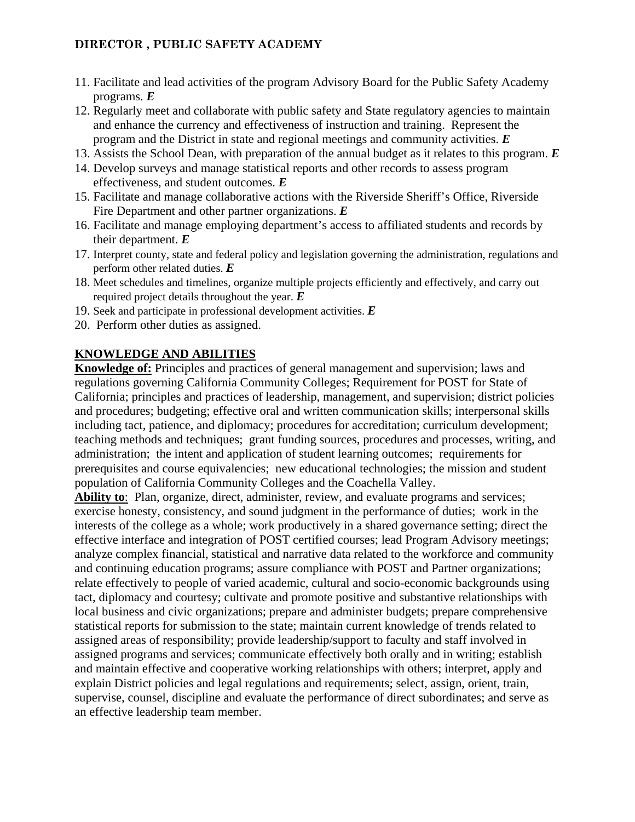## **DIRECTOR , PUBLIC SAFETY ACADEMY**

- 11. Facilitate and lead activities of the program Advisory Board for the Public Safety Academy programs. *E*
- 12. Regularly meet and collaborate with public safety and State regulatory agencies to maintain and enhance the currency and effectiveness of instruction and training. Represent the program and the District in state and regional meetings and community activities. *E*
- 13. Assists the School Dean, with preparation of the annual budget as it relates to this program. *E*
- 14. Develop surveys and manage statistical reports and other records to assess program effectiveness, and student outcomes. *E*
- 15. Facilitate and manage collaborative actions with the Riverside Sheriff's Office, Riverside Fire Department and other partner organizations. *E*
- 16. Facilitate and manage employing department's access to affiliated students and records by their department. *E*
- 17. Interpret county, state and federal policy and legislation governing the administration, regulations and perform other related duties. *E*
- 18. Meet schedules and timelines, organize multiple projects efficiently and effectively, and carry out required project details throughout the year. *E*
- 19. Seek and participate in professional development activities. *E*
- 20. Perform other duties as assigned.

## **KNOWLEDGE AND ABILITIES**

**Knowledge of:** Principles and practices of general management and supervision; laws and regulations governing California Community Colleges; Requirement for POST for State of California; principles and practices of leadership, management, and supervision; district policies and procedures; budgeting; effective oral and written communication skills; interpersonal skills including tact, patience, and diplomacy; procedures for accreditation; curriculum development; teaching methods and techniques; grant funding sources, procedures and processes, writing, and administration; the intent and application of student learning outcomes; requirements for prerequisites and course equivalencies; new educational technologies; the mission and student population of California Community Colleges and the Coachella Valley.

**Ability to**: Plan, organize, direct, administer, review, and evaluate programs and services; exercise honesty, consistency, and sound judgment in the performance of duties; work in the interests of the college as a whole; work productively in a shared governance setting; direct the effective interface and integration of POST certified courses; lead Program Advisory meetings; analyze complex financial, statistical and narrative data related to the workforce and community and continuing education programs; assure compliance with POST and Partner organizations; relate effectively to people of varied academic, cultural and socio-economic backgrounds using tact, diplomacy and courtesy; cultivate and promote positive and substantive relationships with local business and civic organizations; prepare and administer budgets; prepare comprehensive statistical reports for submission to the state; maintain current knowledge of trends related to assigned areas of responsibility; provide leadership/support to faculty and staff involved in assigned programs and services; communicate effectively both orally and in writing; establish and maintain effective and cooperative working relationships with others; interpret, apply and explain District policies and legal regulations and requirements; select, assign, orient, train, supervise, counsel, discipline and evaluate the performance of direct subordinates; and serve as an effective leadership team member.